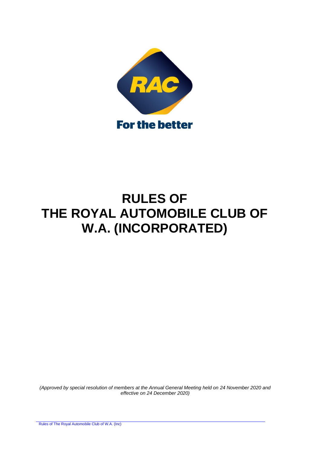

# **RULES OF THE ROYAL AUTOMOBILE CLUB OF W.A. (INCORPORATED)**

*(Approved by special resolution of members at the Annual General Meeting held on 24 November 2020 and effective on 24 December 2020)*

Rules of The Royal Automobile Club of W.A. (Inc)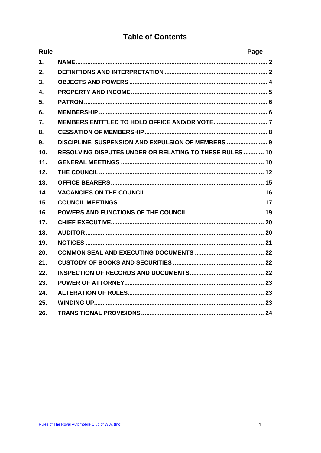# **Table of Contents**

| <b>Rule</b>      |                                                         | Page |
|------------------|---------------------------------------------------------|------|
| $\mathbf{1}$ .   |                                                         |      |
| 2.               |                                                         |      |
| 3.               |                                                         |      |
| $\overline{4}$ . |                                                         |      |
| 5.               |                                                         |      |
| 6.               |                                                         |      |
| 7.               |                                                         |      |
| 8.               |                                                         |      |
| 9.               | DISCIPLINE, SUSPENSION AND EXPULSION OF MEMBERS  9      |      |
| 10.              | RESOLVING DISPUTES UNDER OR RELATING TO THESE RULES  10 |      |
| 11.              |                                                         |      |
| 12.              |                                                         |      |
| 13.              |                                                         |      |
| 14.              |                                                         |      |
| 15.              |                                                         |      |
| 16.              |                                                         |      |
| 17.              |                                                         |      |
| 18.              |                                                         |      |
| 19.              |                                                         |      |
| 20.              |                                                         |      |
| 21.              |                                                         |      |
| 22.              |                                                         |      |
| 23.              |                                                         |      |
| 24.              |                                                         |      |
| 25.              |                                                         |      |
| 26.              |                                                         |      |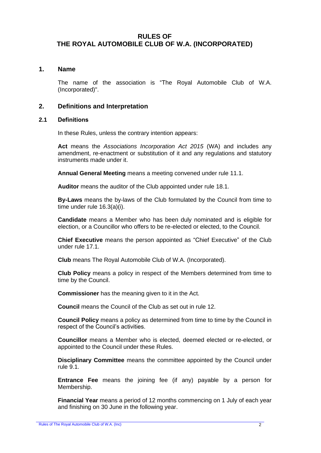# **RULES OF THE ROYAL AUTOMOBILE CLUB OF W.A. (INCORPORATED)**

# <span id="page-2-0"></span>**1. Name**

The name of the association is "The Royal Automobile Club of W.A. (Incorporated)".

# <span id="page-2-1"></span>**2. Definitions and Interpretation**

#### **2.1 Definitions**

In these Rules, unless the contrary intention appears:

**Act** means the *Associations Incorporation Act 2015* (WA) and includes any amendment, re-enactment or substitution of it and any regulations and statutory instruments made under it.

**Annual General Meeting** means a meeting convened under rule [11.1.](#page-10-2)

**Auditor** means the auditor of the Club appointed under rule [18.1.](#page-20-2)

**By-Laws** means the by-laws of the Club formulated by the Council from time to time under rule [16.3\(a\)\(i\).](#page-19-1)

**Candidate** means a Member who has been duly nominated and is eligible for election, or a Councillor who offers to be re-elected or elected, to the Council.

**Chief Executive** means the person appointed as "Chief Executive" of the Club under rule [17.1.](#page-20-3)

**Club** means The Royal Automobile Club of W.A. (Incorporated).

**Club Policy** means a policy in respect of the Members determined from time to time by the Council.

**Commissioner** has the meaning given to it in the Act.

**Council** means the Council of the Club as set out in rule [12.](#page-12-0)

**Council Policy** means a policy as determined from time to time by the Council in respect of the Council's activities.

**Councillor** means a Member who is elected, deemed elected or re-elected, or appointed to the Council under these Rules.

**Disciplinary Committee** means the committee appointed by the Council under rule [9.1.](#page-9-1)

**Entrance Fee** means the joining fee (if any) payable by a person for Membership.

**Financial Year** means a period of 12 months commencing on 1 July of each year and finishing on 30 June in the following year.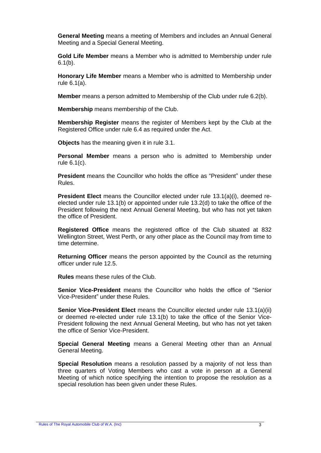**General Meeting** means a meeting of Members and includes an Annual General Meeting and a Special General Meeting.

**Gold Life Member** means a Member who is admitted to Membership under rule  $6.1(b)$ .

**Honorary Life Member** means a Member who is admitted to Membership under rule [6.1\(a\).](#page-6-3)

**Member** means a person admitted to Membership of the Club under rule [6.2\(b\).](#page-6-4)

**Membership** means membership of the Club.

**Membership Register** means the register of Members kept by the Club at the Registered Office under rule [6.4](#page-7-1) as required under the Act.

**Objects** has the meaning given it in rule [3.1.](#page-4-1)

**Personal Member** means a person who is admitted to Membership under rule [6.1\(c\).](#page-6-5)

**President** means the Councillor who holds the office as "President" under these Rules.

**President Elect** means the Councillor elected under rule [13.1\(a\)\(i\),](#page-15-1) deemed reelected under rule [13.1\(b\)](#page-15-2) or appointed under rule [13.2\(d\)](#page-16-1) to take the office of the President following the next Annual General Meeting, but who has not yet taken the office of President.

**Registered Office** means the registered office of the Club situated at 832 Wellington Street, West Perth, or any other place as the Council may from time to time determine.

**Returning Officer** means the person appointed by the Council as the returning officer under rule [12.5.](#page-14-0)

**Rules** means these rules of the Club.

**Senior Vice-President** means the Councillor who holds the office of "Senior Vice-President" under these Rules.

**Senior Vice-President Elect** means the Councillor elected under rule [13.1\(a\)\(ii\)](#page-15-3) or deemed re-elected under rule [13.1\(b\)](#page-15-2) to take the office of the Senior Vice-President following the next Annual General Meeting, but who has not yet taken the office of Senior Vice-President.

**Special General Meeting** means a General Meeting other than an Annual General Meeting.

**Special Resolution** means a resolution passed by a majority of not less than three quarters of Voting Members who cast a vote in person at a General Meeting of which notice specifying the intention to propose the resolution as a special resolution has been given under these Rules.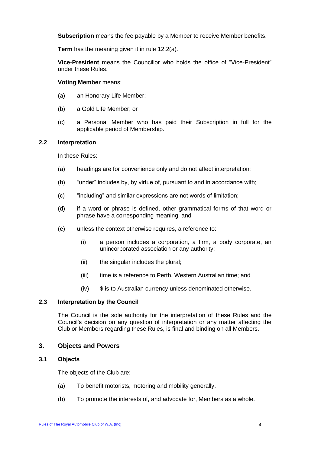**Subscription** means the fee payable by a Member to receive Member benefits.

**Term** has the meaning given it in rule [12.2\(a\).](#page-12-1)

**Vice-President** means the Councillor who holds the office of "Vice-President" under these Rules.

#### **Voting Member** means:

- (a) an Honorary Life Member;
- (b) a Gold Life Member; or
- (c) a Personal Member who has paid their Subscription in full for the applicable period of Membership.

#### **2.2 Interpretation**

In these Rules:

- (a) headings are for convenience only and do not affect interpretation;
- (b) "under" includes by, by virtue of, pursuant to and in accordance with;
- (c) "including" and similar expressions are not words of limitation;
- (d) if a word or phrase is defined, other grammatical forms of that word or phrase have a corresponding meaning; and
- (e) unless the context otherwise requires, a reference to:
	- (i) a person includes a corporation, a firm, a body corporate, an unincorporated association or any authority;
	- (ii) the singular includes the plural;
	- (iii) time is a reference to Perth, Western Australian time; and
	- (iv) \$ is to Australian currency unless denominated otherwise.

#### **2.3 Interpretation by the Council**

The Council is the sole authority for the interpretation of these Rules and the Council's decision on any question of interpretation or any matter affecting the Club or Members regarding these Rules, is final and binding on all Members.

#### <span id="page-4-0"></span>**3. Objects and Powers**

#### <span id="page-4-1"></span>**3.1 Objects**

The objects of the Club are:

- (a) To benefit motorists, motoring and mobility generally.
- (b) To promote the interests of, and advocate for, Members as a whole.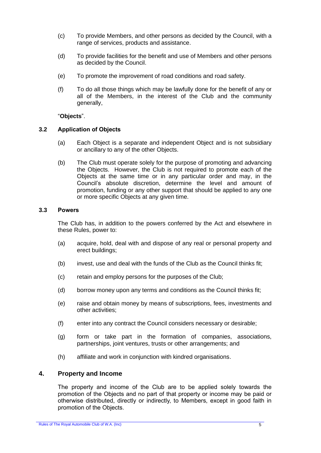- (c) To provide Members, and other persons as decided by the Council, with a range of services, products and assistance.
- (d) To provide facilities for the benefit and use of Members and other persons as decided by the Council.
- (e) To promote the improvement of road conditions and road safety.
- (f) To do all those things which may be lawfully done for the benefit of any or all of the Members, in the interest of the Club and the community generally,

"**Objects**".

#### **3.2 Application of Objects**

- (a) Each Object is a separate and independent Object and is not subsidiary or ancillary to any of the other Objects.
- (b) The Club must operate solely for the purpose of promoting and advancing the Objects. However, the Club is not required to promote each of the Objects at the same time or in any particular order and may, in the Council's absolute discretion, determine the level and amount of promotion, funding or any other support that should be applied to any one or more specific Objects at any given time.

#### **3.3 Powers**

The Club has, in addition to the powers conferred by the Act and elsewhere in these Rules, power to:

- (a) acquire, hold, deal with and dispose of any real or personal property and erect buildings;
- (b) invest, use and deal with the funds of the Club as the Council thinks fit;
- (c) retain and employ persons for the purposes of the Club;
- (d) borrow money upon any terms and conditions as the Council thinks fit;
- (e) raise and obtain money by means of subscriptions, fees, investments and other activities;
- (f) enter into any contract the Council considers necessary or desirable;
- (g) form or take part in the formation of companies, associations, partnerships, joint ventures, trusts or other arrangements; and
- (h) affiliate and work in conjunction with kindred organisations.

# <span id="page-5-0"></span>**4. Property and Income**

The property and income of the Club are to be applied solely towards the promotion of the Objects and no part of that property or income may be paid or otherwise distributed, directly or indirectly, to Members, except in good faith in promotion of the Objects.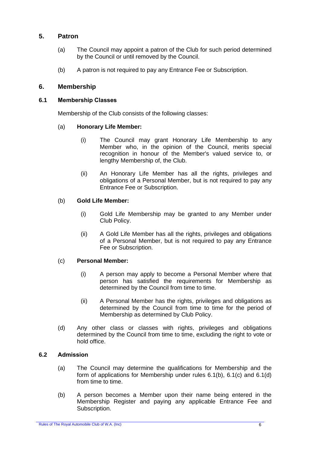# <span id="page-6-0"></span>**5. Patron**

- (a) The Council may appoint a patron of the Club for such period determined by the Council or until removed by the Council.
- (b) A patron is not required to pay any Entrance Fee or Subscription.

#### <span id="page-6-1"></span>**6. Membership**

#### <span id="page-6-3"></span>**6.1 Membership Classes**

Membership of the Club consists of the following classes:

#### (a) **Honorary Life Member:**

- (i) The Council may grant Honorary Life Membership to any Member who, in the opinion of the Council, merits special recognition in honour of the Member's valued service to, or lengthy Membership of, the Club.
- (ii) An Honorary Life Member has all the rights, privileges and obligations of a Personal Member, but is not required to pay any Entrance Fee or Subscription.

#### <span id="page-6-2"></span>(b) **Gold Life Member:**

- (i) Gold Life Membership may be granted to any Member under Club Policy.
- (ii) A Gold Life Member has all the rights, privileges and obligations of a Personal Member, but is not required to pay any Entrance Fee or Subscription.

#### <span id="page-6-5"></span>(c) **Personal Member:**

- (i) A person may apply to become a Personal Member where that person has satisfied the requirements for Membership as determined by the Council from time to time.
- (ii) A Personal Member has the rights, privileges and obligations as determined by the Council from time to time for the period of Membership as determined by Club Policy.
- <span id="page-6-6"></span>(d) Any other class or classes with rights, privileges and obligations determined by the Council from time to time, excluding the right to vote or hold office.

#### **6.2 Admission**

- (a) The Council may determine the qualifications for Membership and the form of applications for Membership under rules [6.1\(b\),](#page-6-2) [6.1\(c\)](#page-6-5) and [6.1\(d\)](#page-6-6) from time to time.
- <span id="page-6-4"></span>(b) A person becomes a Member upon their name being entered in the Membership Register and paying any applicable Entrance Fee and Subscription.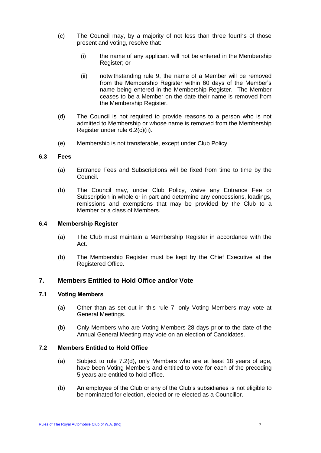- <span id="page-7-2"></span>(c) The Council may, by a majority of not less than three fourths of those present and voting, resolve that:
	- (i) the name of any applicant will not be entered in the Membership Register; or
	- (ii) notwithstanding rule [9,](#page-9-0) the name of a Member will be removed from the Membership Register within 60 days of the Member's name being entered in the Membership Register. The Member ceases to be a Member on the date their name is removed from the Membership Register.
- (d) The Council is not required to provide reasons to a person who is not admitted to Membership or whose name is removed from the Membership Register under rule [6.2\(c\)\(ii\).](#page-7-2)
- (e) Membership is not transferable, except under Club Policy.

#### **6.3 Fees**

- (a) Entrance Fees and Subscriptions will be fixed from time to time by the Council.
- (b) The Council may, under Club Policy, waive any Entrance Fee or Subscription in whole or in part and determine any concessions, loadings, remissions and exemptions that may be provided by the Club to a Member or a class of Members.

#### <span id="page-7-1"></span>**6.4 Membership Register**

- (a) The Club must maintain a Membership Register in accordance with the Act.
- (b) The Membership Register must be kept by the Chief Executive at the Registered Office.

#### <span id="page-7-0"></span>**7. Members Entitled to Hold Office and/or Vote**

#### **7.1 Voting Members**

- (a) Other than as set out in this rule [7,](#page-7-0) only Voting Members may vote at General Meetings.
- (b) Only Members who are Voting Members 28 days prior to the date of the Annual General Meeting may vote on an election of Candidates.

# <span id="page-7-3"></span>**7.2 Members Entitled to Hold Office**

- (a) Subject to rule [7.2\(d\),](#page-8-1) only Members who are at least 18 years of age, have been Voting Members and entitled to vote for each of the preceding 5 years are entitled to hold office.
- (b) An employee of the Club or any of the Club's subsidiaries is not eligible to be nominated for election, elected or re-elected as a Councillor.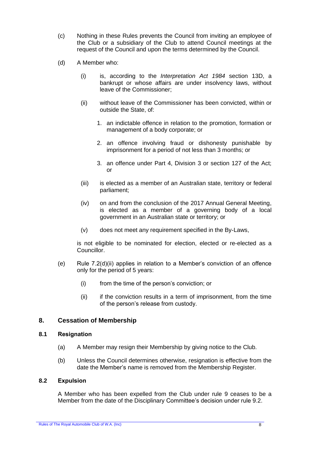- (c) Nothing in these Rules prevents the Council from inviting an employee of the Club or a subsidiary of the Club to attend Council meetings at the request of the Council and upon the terms determined by the Council.
- <span id="page-8-3"></span><span id="page-8-2"></span><span id="page-8-1"></span>(d) A Member who:
	- (i) is, according to the *Interpretation Act 1984* section 13D, a bankrupt or whose affairs are under insolvency laws, without leave of the Commissioner;
	- (ii) without leave of the Commissioner has been convicted, within or outside the State, of:
		- 1. an indictable offence in relation to the promotion, formation or management of a body corporate; or
		- 2. an offence involving fraud or dishonesty punishable by imprisonment for a period of not less than 3 months; or
		- 3. an offence under Part 4, Division 3 or section 127 of the Act; or
	- (iii) is elected as a member of an Australian state, territory or federal parliament;
	- (iv) on and from the conclusion of the 2017 Annual General Meeting, is elected as a member of a governing body of a local government in an Australian state or territory; or
	- (v) does not meet any requirement specified in the By-Laws,

is not eligible to be nominated for election, elected or re-elected as a Councillor.

- (e) Rule  $7.2(d)(ii)$  applies in relation to a Member's conviction of an offence only for the period of 5 years:
	- (i) from the time of the person's conviction; or
	- (ii) if the conviction results in a term of imprisonment, from the time of the person's release from custody.

# <span id="page-8-0"></span>**8. Cessation of Membership**

#### **8.1 Resignation**

- (a) A Member may resign their Membership by giving notice to the Club.
- (b) Unless the Council determines otherwise, resignation is effective from the date the Member's name is removed from the Membership Register.

#### **8.2 Expulsion**

A Member who has been expelled from the Club under rule [9](#page-9-0) ceases to be a Member from the date of the Disciplinary Committee's decision under rule [9.2.](#page-9-2)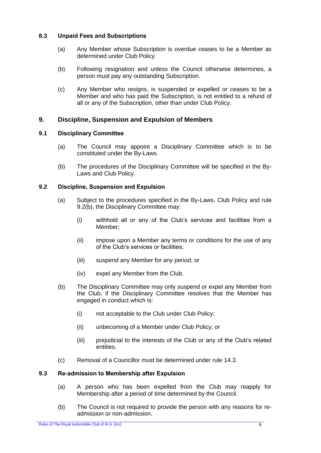#### **8.3 Unpaid Fees and Subscriptions**

- (a) Any Member whose Subscription is overdue ceases to be a Member as determined under Club Policy.
- (b) Following resignation and unless the Council otherwise determines, a person must pay any outstanding Subscription.
- (c) Any Member who resigns, is suspended or expelled or ceases to be a Member and who has paid the Subscription, is not entitled to a refund of all or any of the Subscription, other than under Club Policy.

# <span id="page-9-0"></span>**9. Discipline, Suspension and Expulsion of Members**

# <span id="page-9-1"></span>**9.1 Disciplinary Committee**

- (a) The Council may appoint a Disciplinary Committee which is to be constituted under the By-Laws.
- (b) The procedures of the Disciplinary Committee will be specified in the By-Laws and Club Policy.

# <span id="page-9-2"></span>**9.2 Discipline, Suspension and Expulsion**

- (a) Subject to the procedures specified in the By-Laws, Club Policy and rule [9.2\(b\),](#page-9-3) the Disciplinary Committee may:
	- (i) withhold all or any of the Club's services and facilities from a Member;
	- (ii) impose upon a Member any terms or conditions for the use of any of the Club's services or facilities;
	- (iii) suspend any Member for any period; or
	- (iv) expel any Member from the Club.
- <span id="page-9-3"></span>(b) The Disciplinary Committee may only suspend or expel any Member from the Club, if the Disciplinary Committee resolves that the Member has engaged in conduct which is:
	- (i) not acceptable to the Club under Club Policy;
	- (ii) unbecoming of a Member under Club Policy; or
	- (iii) prejudicial to the interests of the Club or any of the Club's related entities.
- (c) Removal of a Councillor must be determined under rule [14.3.](#page-17-1)

#### **9.3 Re-admission to Membership after Expulsion**

- (a) A person who has been expelled from the Club may reapply for Membership after a period of time determined by the Council.
- (b) The Council is not required to provide the person with any reasons for readmission or non-admission.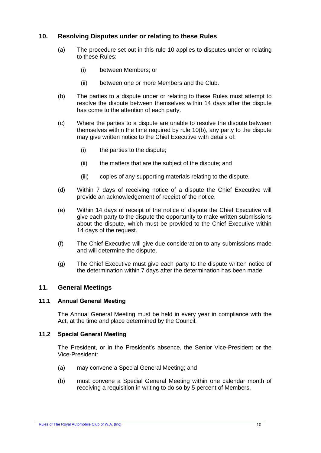# <span id="page-10-0"></span>**10. Resolving Disputes under or relating to these Rules**

- (a) The procedure set out in this rule [10](#page-10-0) applies to disputes under or relating to these Rules:
	- (i) between Members; or
	- (ii) between one or more Members and the Club.
- <span id="page-10-3"></span>(b) The parties to a dispute under or relating to these Rules must attempt to resolve the dispute between themselves within 14 days after the dispute has come to the attention of each party.
- (c) Where the parties to a dispute are unable to resolve the dispute between themselves within the time required by rule [10](#page-10-0)[\(b\),](#page-10-3) any party to the dispute may give written notice to the Chief Executive with details of:
	- (i) the parties to the dispute;
	- (ii) the matters that are the subject of the dispute; and
	- (iii) copies of any supporting materials relating to the dispute.
- (d) Within 7 days of receiving notice of a dispute the Chief Executive will provide an acknowledgement of receipt of the notice.
- (e) Within 14 days of receipt of the notice of dispute the Chief Executive will give each party to the dispute the opportunity to make written submissions about the dispute, which must be provided to the Chief Executive within 14 days of the request.
- (f) The Chief Executive will give due consideration to any submissions made and will determine the dispute.
- (g) The Chief Executive must give each party to the dispute written notice of the determination within 7 days after the determination has been made.

#### <span id="page-10-2"></span><span id="page-10-1"></span>**11. General Meetings**

#### **11.1 Annual General Meeting**

The Annual General Meeting must be held in every year in compliance with the Act, at the time and place determined by the Council.

#### **11.2 Special General Meeting**

The President, or in the President's absence, the Senior Vice-President or the Vice-President:

- <span id="page-10-4"></span>(a) may convene a Special General Meeting; and
- (b) must convene a Special General Meeting within one calendar month of receiving a requisition in writing to do so by 5 percent of Members.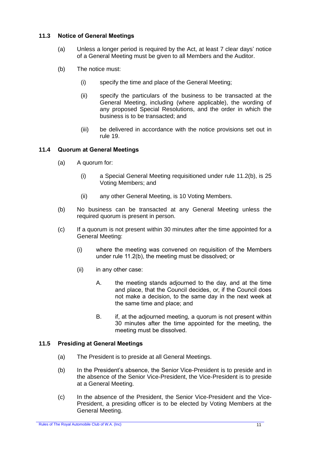#### **11.3 Notice of General Meetings**

- (a) Unless a longer period is required by the Act, at least 7 clear days' notice of a General Meeting must be given to all Members and the Auditor.
- (b) The notice must:
	- (i) specify the time and place of the General Meeting;
	- (ii) specify the particulars of the business to be transacted at the General Meeting, including (where applicable), the wording of any proposed Special Resolutions, and the order in which the business is to be transacted; and
	- (iii) be delivered in accordance with the notice provisions set out in rule [19.](#page-21-0)

# **11.4 Quorum at General Meetings**

- (a) A quorum for:
	- (i) a Special General Meeting requisitioned under rule [11.2\(b\),](#page-10-4) is 25 Voting Members; and
	- (ii) any other General Meeting, is 10 Voting Members.
- (b) No business can be transacted at any General Meeting unless the required quorum is present in person.
- (c) If a quorum is not present within 30 minutes after the time appointed for a General Meeting:
	- (i) where the meeting was convened on requisition of the Members under rule [11.2\(b\),](#page-10-4) the meeting must be dissolved; or
	- (ii) in any other case:
		- A. the meeting stands adjourned to the day, and at the time and place, that the Council decides, or, if the Council does not make a decision, to the same day in the next week at the same time and place; and
		- B. if, at the adjourned meeting, a quorum is not present within 30 minutes after the time appointed for the meeting, the meeting must be dissolved.

#### **11.5 Presiding at General Meetings**

- (a) The President is to preside at all General Meetings.
- (b) In the President's absence, the Senior Vice-President is to preside and in the absence of the Senior Vice-President, the Vice-President is to preside at a General Meeting.
- (c) In the absence of the President, the Senior Vice-President and the Vice-President, a presiding officer is to be elected by Voting Members at the General Meeting.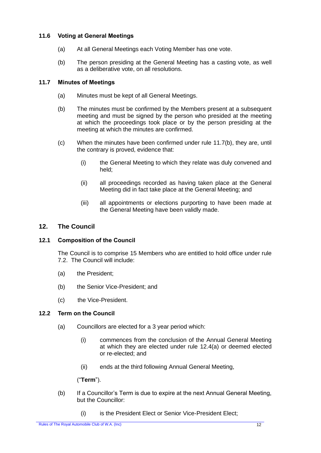# **11.6 Voting at General Meetings**

- (a) At all General Meetings each Voting Member has one vote.
- (b) The person presiding at the General Meeting has a casting vote, as well as a deliberative vote, on all resolutions.

# <span id="page-12-2"></span>**11.7 Minutes of Meetings**

- (a) Minutes must be kept of all General Meetings.
- (b) The minutes must be confirmed by the Members present at a subsequent meeting and must be signed by the person who presided at the meeting at which the proceedings took place or by the person presiding at the meeting at which the minutes are confirmed.
- (c) When the minutes have been confirmed under rule [11.7\(b\),](#page-12-2) they are, until the contrary is proved, evidence that:
	- (i) the General Meeting to which they relate was duly convened and held;
	- (ii) all proceedings recorded as having taken place at the General Meeting did in fact take place at the General Meeting; and
	- (iii) all appointments or elections purporting to have been made at the General Meeting have been validly made.

# <span id="page-12-0"></span>**12. The Council**

# **12.1 Composition of the Council**

The Council is to comprise 15 Members who are entitled to hold office under rule [7.2.](#page-7-3) The Council will include:

- (a) the President;
- (b) the Senior Vice-President; and
- (c) the Vice-President.

#### <span id="page-12-3"></span><span id="page-12-1"></span>**12.2 Term on the Council**

- (a) Councillors are elected for a 3 year period which:
	- (i) commences from the conclusion of the Annual General Meeting at which they are elected under rule [12.4\(a\)](#page-14-1) or deemed elected or re-elected; and
	- (ii) ends at the third following Annual General Meeting,

("**Term**").

- (b) If a Councillor's Term is due to expire at the next Annual General Meeting, but the Councillor:
	- (i) is the President Elect or Senior Vice-President Elect;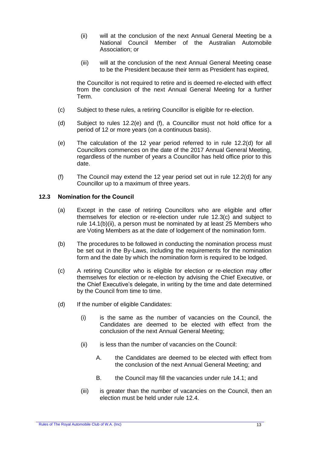- (ii) will at the conclusion of the next Annual General Meeting be a National Council Member of the Australian Automobile Association; or
- (iii) will at the conclusion of the next Annual General Meeting cease to be the President because their term as President has expired,

the Councillor is not required to retire and is deemed re-elected with effect from the conclusion of the next Annual General Meeting for a further Term.

- (c) Subject to these rules, a retiring Councillor is eligible for re-election.
- <span id="page-13-2"></span>(d) Subject to rules [12.2](#page-12-3)[\(e\)](#page-13-0) and [\(f\),](#page-13-1) a Councillor must not hold office for a period of 12 or more years (on a continuous basis).
- <span id="page-13-0"></span>(e) The calculation of the 12 year period referred to in rule [12.2](#page-12-3)[\(d\)](#page-13-2) for all Councillors commences on the date of the 2017 Annual General Meeting, regardless of the number of years a Councillor has held office prior to this date.
- <span id="page-13-1"></span>(f) The Council may extend the 12 year period set out in rule [12.2](#page-12-3)[\(d\)](#page-13-2) for any Councillor up to a maximum of three years.

#### <span id="page-13-5"></span>**12.3 Nomination for the Council**

- (a) Except in the case of retiring Councillors who are eligible and offer themselves for election or re-election under rule [12.3\(c\)](#page-13-3) and subject to rule [14.1\(b\)\(ii\),](#page-16-2) a person must be nominated by at least 25 Members who are Voting Members as at the date of lodgement of the nomination form.
- (b) The procedures to be followed in conducting the nomination process must be set out in the By-Laws, including the requirements for the nomination form and the date by which the nomination form is required to be lodged.
- <span id="page-13-3"></span>(c) A retiring Councillor who is eligible for election or re-election may offer themselves for election or re-election by advising the Chief Executive, or the Chief Executive's delegate, in writing by the time and date determined by the Council from time to time.
- <span id="page-13-4"></span>(d) If the number of eligible Candidates:
	- (i) is the same as the number of vacancies on the Council, the Candidates are deemed to be elected with effect from the conclusion of the next Annual General Meeting;
	- (ii) is less than the number of vacancies on the Council:
		- A. the Candidates are deemed to be elected with effect from the conclusion of the next Annual General Meeting; and
		- B. the Council may fill the vacancies under rule [14.1;](#page-16-3) and
	- (iii) is greater than the number of vacancies on the Council, then an election must be held under rule [12.4.](#page-14-2)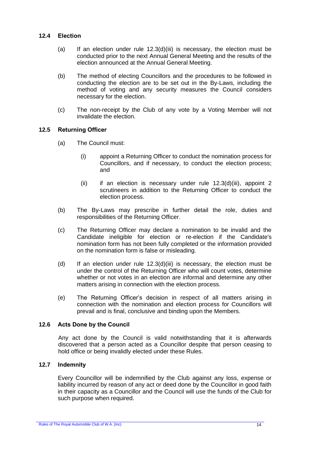#### <span id="page-14-2"></span><span id="page-14-1"></span>**12.4 Election**

- (a) If an election under rule  $12.3(d)(iii)$  is necessary, the election must be conducted prior to the next Annual General Meeting and the results of the election announced at the Annual General Meeting.
- (b) The method of electing Councillors and the procedures to be followed in conducting the election are to be set out in the By-Laws, including the method of voting and any security measures the Council considers necessary for the election.
- (c) The non-receipt by the Club of any vote by a Voting Member will not invalidate the election.

#### <span id="page-14-0"></span>**12.5 Returning Officer**

- (a) The Council must:
	- (i) appoint a Returning Officer to conduct the nomination process for Councillors, and if necessary, to conduct the election process; and
	- (ii) if an election is necessary under rule  $12.3(d)(iii)$ , appoint 2 scrutineers in addition to the Returning Officer to conduct the election process.
- (b) The By-Laws may prescribe in further detail the role, duties and responsibilities of the Returning Officer.
- (c) The Returning Officer may declare a nomination to be invalid and the Candidate ineligible for election or re-election if the Candidate's nomination form has not been fully completed or the information provided on the nomination form is false or misleading.
- (d) If an election under rule  $12.3(d)(iii)$  is necessary, the election must be under the control of the Returning Officer who will count votes, determine whether or not votes in an election are informal and determine any other matters arising in connection with the election process.
- (e) The Returning Officer's decision in respect of all matters arising in connection with the nomination and election process for Councillors will prevail and is final, conclusive and binding upon the Members.

#### **12.6 Acts Done by the Council**

Any act done by the Council is valid notwithstanding that it is afterwards discovered that a person acted as a Councillor despite that person ceasing to hold office or being invalidly elected under these Rules.

#### **12.7 Indemnity**

Every Councillor will be indemnified by the Club against any loss, expense or liability incurred by reason of any act or deed done by the Councillor in good faith in their capacity as a Councillor and the Council will use the funds of the Club for such purpose when required.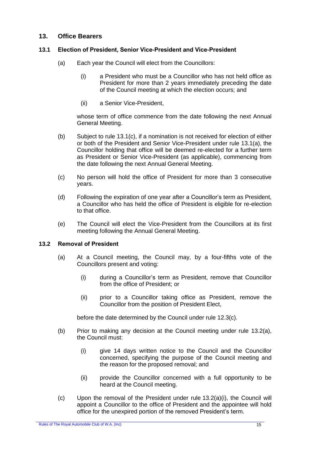# <span id="page-15-0"></span>**13. Office Bearers**

#### <span id="page-15-5"></span><span id="page-15-1"></span>**13.1 Election of President, Senior Vice-President and Vice-President**

- <span id="page-15-3"></span>(a) Each year the Council will elect from the Councillors:
	- (i) a President who must be a Councillor who has not held office as President for more than 2 years immediately preceding the date of the Council meeting at which the election occurs; and
	- (ii) a Senior Vice-President,

whose term of office commence from the date following the next Annual General Meeting.

- <span id="page-15-2"></span>(b) Subject to rule [13.1\(c\),](#page-15-4) if a nomination is not received for election of either or both of the President and Senior Vice-President under rule [13.1\(a\),](#page-15-5) the Councillor holding that office will be deemed re-elected for a further term as President or Senior Vice-President (as applicable), commencing from the date following the next Annual General Meeting.
- <span id="page-15-4"></span>(c) No person will hold the office of President for more than 3 consecutive years.
- (d) Following the expiration of one year after a Councillor's term as President, a Councillor who has held the office of President is eligible for re-election to that office.
- (e) The Council will elect the Vice-President from the Councillors at its first meeting following the Annual General Meeting.

#### <span id="page-15-10"></span><span id="page-15-6"></span>**13.2 Removal of President**

- <span id="page-15-8"></span><span id="page-15-7"></span>(a) At a Council meeting, the Council may, by a four-fifths vote of the Councillors present and voting:
	- (i) during a Councillor's term as President, remove that Councillor from the office of President; or
	- (ii) prior to a Councillor taking office as President, remove the Councillor from the position of President Elect,

before the date determined by the Council under rule [12.3\(c\).](#page-13-3)

- (b) Prior to making any decision at the Council meeting under rule [13.2\(a\),](#page-15-6) the Council must:
	- (i) give 14 days written notice to the Council and the Councillor concerned, specifying the purpose of the Council meeting and the reason for the proposed removal; and
	- (ii) provide the Councillor concerned with a full opportunity to be heard at the Council meeting.
- <span id="page-15-9"></span> $(c)$  Upon the removal of the President under rule  $13.2(a)(i)$ , the Council will appoint a Councillor to the office of President and the appointee will hold office for the unexpired portion of the removed President's term.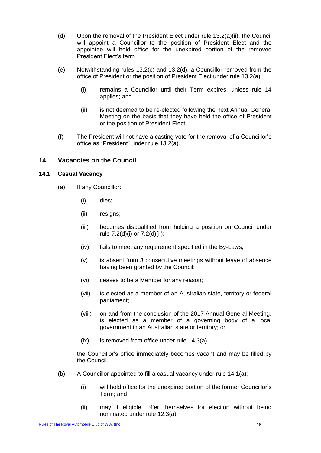- <span id="page-16-1"></span>(d) Upon the removal of the President Elect under rule [13.2\(a\)\(ii\),](#page-15-8) the Council will appoint a Councillor to the position of President Elect and the appointee will hold office for the unexpired portion of the removed President Elect's term.
- (e) Notwithstanding rules [13.2\(c\)](#page-15-9) and [13.2\(d\),](#page-16-1) a Councillor removed from the office of President or the position of President Elect under rule [13.2\(a\):](#page-15-6)
	- (i) remains a Councillor until their Term expires, unless rule [14](#page-16-0) applies; and
	- (ii) is not deemed to be re-elected following the next Annual General Meeting on the basis that they have held the office of President or the position of President Elect.
- (f) The President will not have a casting vote for the removal of a Councillor's office as "President" under rule [13.2\(a\).](#page-15-6)

# <span id="page-16-0"></span>**14. Vacancies on the Council**

#### <span id="page-16-4"></span><span id="page-16-3"></span>**14.1 Casual Vacancy**

- (a) If any Councillor:
	- (i) dies;
	- (ii) resigns;
	- (iii) becomes disqualified from holding a position on Council under rule [7.2\(d\)\(i\)](#page-8-2) or [7.2\(d\)\(ii\);](#page-8-3)
	- (iv) fails to meet any requirement specified in the By-Laws;
	- (v) is absent from 3 consecutive meetings without leave of absence having been granted by the Council;
	- (vi) ceases to be a Member for any reason;
	- (vii) is elected as a member of an Australian state, territory or federal parliament;
	- (viii) on and from the conclusion of the 2017 Annual General Meeting, is elected as a member of a governing body of a local government in an Australian state or territory; or
	- (ix) is removed from office under rule [14.3\(a\),](#page-17-2)

the Councillor's office immediately becomes vacant and may be filled by the Council.

- <span id="page-16-2"></span>(b) A Councillor appointed to fill a casual vacancy under rule [14.1\(a\):](#page-16-4)
	- (i) will hold office for the unexpired portion of the former Councillor's Term; and
	- (ii) may if eligible, offer themselves for election without being nominated under rule [12.3\(a\).](#page-13-5)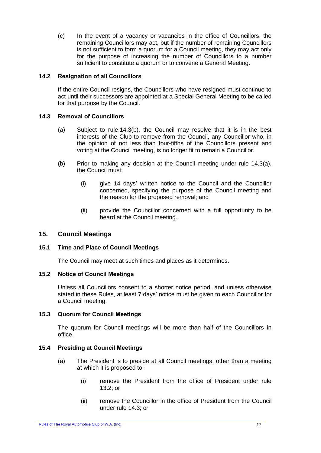(c) In the event of a vacancy or vacancies in the office of Councillors, the remaining Councillors may act, but if the number of remaining Councillors is not sufficient to form a quorum for a Council meeting, they may act only for the purpose of increasing the number of Councillors to a number sufficient to constitute a quorum or to convene a General Meeting.

#### **14.2 Resignation of all Councillors**

If the entire Council resigns, the Councillors who have resigned must continue to act until their successors are appointed at a Special General Meeting to be called for that purpose by the Council.

# <span id="page-17-2"></span><span id="page-17-1"></span>**14.3 Removal of Councillors**

- (a) Subject to rule [14.3\(b\),](#page-17-3) the Council may resolve that it is in the best interests of the Club to remove from the Council, any Councillor who, in the opinion of not less than four-fifths of the Councillors present and voting at the Council meeting, is no longer fit to remain a Councillor.
- <span id="page-17-3"></span>(b) Prior to making any decision at the Council meeting under rule [14.3\(a\),](#page-17-2) the Council must:
	- (i) give 14 days' written notice to the Council and the Councillor concerned, specifying the purpose of the Council meeting and the reason for the proposed removal; and
	- (ii) provide the Councillor concerned with a full opportunity to be heard at the Council meeting.

# <span id="page-17-0"></span>**15. Council Meetings**

#### **15.1 Time and Place of Council Meetings**

The Council may meet at such times and places as it determines.

#### **15.2 Notice of Council Meetings**

Unless all Councillors consent to a shorter notice period, and unless otherwise stated in these Rules, at least 7 days' notice must be given to each Councillor for a Council meeting.

#### **15.3 Quorum for Council Meetings**

The quorum for Council meetings will be more than half of the Councillors in office.

#### **15.4 Presiding at Council Meetings**

- <span id="page-17-5"></span><span id="page-17-4"></span>(a) The President is to preside at all Council meetings, other than a meeting at which it is proposed to:
	- (i) remove the President from the office of President under rule [13.2;](#page-15-10) or
	- (ii) remove the Councillor in the office of President from the Council under rule [14.3;](#page-17-1) or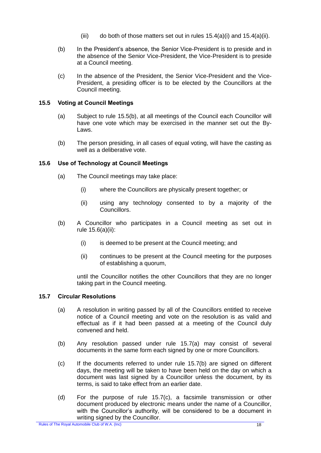- (iii) do both of those matters set out in rules  $15.4(a)(i)$  and  $15.4(a)(ii)$ .
- (b) In the President's absence, the Senior Vice-President is to preside and in the absence of the Senior Vice-President, the Vice-President is to preside at a Council meeting.
- (c) In the absence of the President, the Senior Vice-President and the Vice-President, a presiding officer is to be elected by the Councillors at the Council meeting.

# **15.5 Voting at Council Meetings**

- (a) Subject to rule [15.5\(b\),](#page-18-0) at all meetings of the Council each Councillor will have one vote which may be exercised in the manner set out the By-Laws.
- <span id="page-18-0"></span>(b) The person presiding, in all cases of equal voting, will have the casting as well as a deliberative vote.

# **15.6 Use of Technology at Council Meetings**

- <span id="page-18-1"></span>(a) The Council meetings may take place:
	- (i) where the Councillors are physically present together; or
	- (ii) using any technology consented to by a majority of the Councillors.
- (b) A Councillor who participates in a Council meeting as set out in rule [15.6\(a\)\(ii\):](#page-18-1)
	- (i) is deemed to be present at the Council meeting; and
	- (ii) continues to be present at the Council meeting for the purposes of establishing a quorum,

until the Councillor notifies the other Councillors that they are no longer taking part in the Council meeting.

#### <span id="page-18-2"></span>**15.7 Circular Resolutions**

- (a) A resolution in writing passed by all of the Councillors entitled to receive notice of a Council meeting and vote on the resolution is as valid and effectual as if it had been passed at a meeting of the Council duly convened and held.
- <span id="page-18-3"></span>(b) Any resolution passed under rule [15.7\(a\)](#page-18-2) may consist of several documents in the same form each signed by one or more Councillors.
- <span id="page-18-4"></span>(c) If the documents referred to under rule [15.7\(b\)](#page-18-3) are signed on different days, the meeting will be taken to have been held on the day on which a document was last signed by a Councillor unless the document, by its terms, is said to take effect from an earlier date.
- (d) For the purpose of rule [15.7\(c\),](#page-18-4) a facsimile transmission or other document produced by electronic means under the name of a Councillor, with the Councillor's authority, will be considered to be a document in writing signed by the Councillor.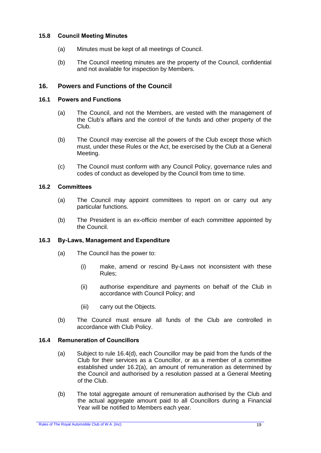#### **15.8 Council Meeting Minutes**

- (a) Minutes must be kept of all meetings of Council.
- (b) The Council meeting minutes are the property of the Council, confidential and not available for inspection by Members.

# <span id="page-19-0"></span>**16. Powers and Functions of the Council**

#### **16.1 Powers and Functions**

- (a) The Council, and not the Members, are vested with the management of the Club's affairs and the control of the funds and other property of the Club.
- (b) The Council may exercise all the powers of the Club except those which must, under these Rules or the Act, be exercised by the Club at a General Meeting.
- (c) The Council must conform with any Council Policy, governance rules and codes of conduct as developed by the Council from time to time.

# <span id="page-19-2"></span>**16.2 Committees**

- (a) The Council may appoint committees to report on or carry out any particular functions.
- (b) The President is an ex-officio member of each committee appointed by the Council.

#### <span id="page-19-1"></span>**16.3 By-Laws, Management and Expenditure**

- (a) The Council has the power to:
	- (i) make, amend or rescind By-Laws not inconsistent with these Rules;
	- (ii) authorise expenditure and payments on behalf of the Club in accordance with Council Policy; and
	- (iii) carry out the Objects.
- (b) The Council must ensure all funds of the Club are controlled in accordance with Club Policy.

# <span id="page-19-3"></span>**16.4 Remuneration of Councillors**

- (a) Subject to rule [16.4\(d\),](#page-20-4) each Councillor may be paid from the funds of the Club for their services as a Councillor, or as a member of a committee established under [16.2\(a\),](#page-19-2) an amount of remuneration as determined by the Council and authorised by a resolution passed at a General Meeting of the Club.
- (b) The total aggregate amount of remuneration authorised by the Club and the actual aggregate amount paid to all Councillors during a Financial Year will be notified to Members each year.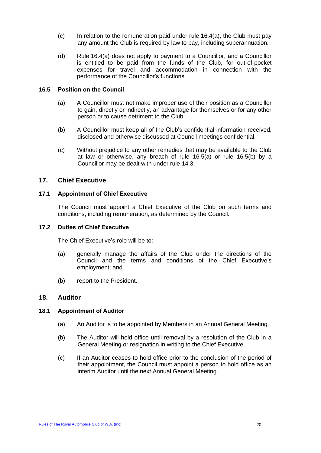- $(c)$  In relation to the remuneration paid under rule 16.4(a), the Club must pay any amount the Club is required by law to pay[, includin](#page-19-3)g superannuation.
- <span id="page-20-4"></span>(d) Rule [16.4\(a\)](#page-19-3) does not apply to payment to a Councillor, and a Councillor is entitled to be paid from the funds of the Club, for out-of-pocket expenses for travel and accommodation in connection with the performance of the Councillor's functions.

#### <span id="page-20-5"></span>**16.5 Position on the Council**

- (a) A Councillor must not make improper use of their position as a Councillor to gain, directly or indirectly, an advantage for themselves or for any other person or to cause detriment to the Club.
- <span id="page-20-6"></span>(b) A Councillor must keep all of the Club's confidential information received, disclosed and otherwise discussed at Council meetings confidential.
- (c) Without prejudice to any other remedies that may be available to the Club at law or otherwise, any breach of rule [16.5\(a\)](#page-20-5) or rule [16.5\(b\)](#page-20-6) by a Councillor may be dealt with under rule [14.3.](#page-17-1)

# <span id="page-20-3"></span><span id="page-20-0"></span>**17. Chief Executive**

#### **17.1 Appointment of Chief Executive**

The Council must appoint a Chief Executive of the Club on such terms and conditions, including remuneration, as determined by the Council.

#### **17.2 Duties of Chief Executive**

The Chief Executive's role will be to:

- (a) generally manage the affairs of the Club under the directions of the Council and the terms and conditions of the Chief Executive's employment; and
- (b) report to the President.

#### <span id="page-20-1"></span>**18. Auditor**

#### <span id="page-20-2"></span>**18.1 Appointment of Auditor**

- (a) An Auditor is to be appointed by Members in an Annual General Meeting.
- (b) The Auditor will hold office until removal by a resolution of the Club in a General Meeting or resignation in writing to the Chief Executive.
- (c) If an Auditor ceases to hold office prior to the conclusion of the period of their appointment, the Council must appoint a person to hold office as an interim Auditor until the next Annual General Meeting.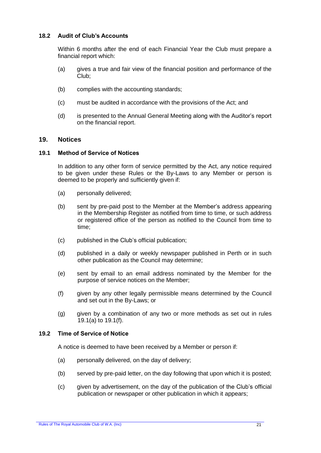#### **18.2 Audit of Club's Accounts**

Within 6 months after the end of each Financial Year the Club must prepare a financial report which:

- (a) gives a true and fair view of the financial position and performance of the Club;
- (b) complies with the accounting standards;
- (c) must be audited in accordance with the provisions of the Act; and
- (d) is presented to the Annual General Meeting along with the Auditor's report on the financial report.

#### <span id="page-21-0"></span>**19. Notices**

#### **19.1 Method of Service of Notices**

In addition to any other form of service permitted by the Act, any notice required to be given under these Rules or the By-Laws to any Member or person is deemed to be properly and sufficiently given if:

- <span id="page-21-1"></span>(a) personally delivered;
- (b) sent by pre-paid post to the Member at the Member's address appearing in the Membership Register as notified from time to time, or such address or registered office of the person as notified to the Council from time to time;
- (c) published in the Club's official publication;
- (d) published in a daily or weekly newspaper published in Perth or in such other publication as the Council may determine;
- (e) sent by email to an email address nominated by the Member for the purpose of service notices on the Member;
- <span id="page-21-2"></span>(f) given by any other legally permissible means determined by the Council and set out in the By-Laws; or
- (g) given by a combination of any two or more methods as set out in rules [19.1\(a\)](#page-21-1) to [19.1\(f\).](#page-21-2)

#### **19.2 Time of Service of Notice**

A notice is deemed to have been received by a Member or person if:

- (a) personally delivered, on the day of delivery;
- (b) served by pre-paid letter, on the day following that upon which it is posted;
- (c) given by advertisement, on the day of the publication of the Club's official publication or newspaper or other publication in which it appears;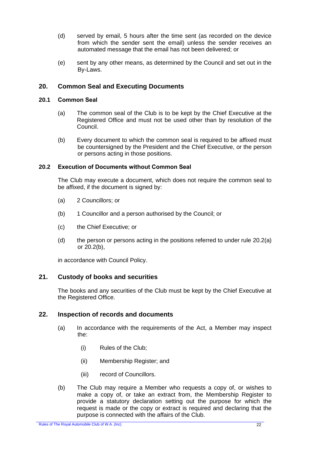- (d) served by email, 5 hours after the time sent (as recorded on the device from which the sender sent the email) unless the sender receives an automated message that the email has not been delivered; or
- (e) sent by any other means, as determined by the Council and set out in the By-Laws.

# <span id="page-22-0"></span>**20. Common Seal and Executing Documents**

#### **20.1 Common Seal**

- (a) The common seal of the Club is to be kept by the Chief Executive at the Registered Office and must not be used other than by resolution of the Council.
- (b) Every document to which the common seal is required to be affixed must be countersigned by the President and the Chief Executive, or the person or persons acting in those positions.

#### **20.2 Execution of Documents without Common Seal**

The Club may execute a document, which does not require the common seal to be affixed, if the document is signed by:

- <span id="page-22-3"></span>(a) 2 Councillors; or
- <span id="page-22-4"></span>(b) 1 Councillor and a person authorised by the Council; or
- (c) the Chief Executive; or
- (d) the person or persons acting in the positions referred to under rule [20.2\(a\)](#page-22-3) or [20.2\(b\),](#page-22-4)

in accordance with Council Policy.

#### <span id="page-22-1"></span>**21. Custody of books and securities**

The books and any securities of the Club must be kept by the Chief Executive at the Registered Office.

#### <span id="page-22-2"></span>**22. Inspection of records and documents**

- (a) In accordance with the requirements of the Act, a Member may inspect the:
	- (i) Rules of the Club;
	- (ii) Membership Register; and
	- (iii) record of Councillors.
- (b) The Club may require a Member who requests a copy of, or wishes to make a copy of, or take an extract from, the Membership Register to provide a statutory declaration setting out the purpose for which the request is made or the copy or extract is required and declaring that the purpose is connected with the affairs of the Club.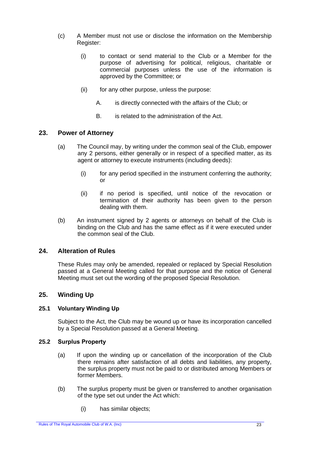- (c) A Member must not use or disclose the information on the Membership Register:
	- (i) to contact or send material to the Club or a Member for the purpose of advertising for political, religious, charitable or commercial purposes unless the use of the information is approved by the Committee; or
	- (ii) for any other purpose, unless the purpose:
		- A. is directly connected with the affairs of the Club; or
		- B. is related to the administration of the Act.

# <span id="page-23-0"></span>**23. Power of Attorney**

- (a) The Council may, by writing under the common seal of the Club, empower any 2 persons, either generally or in respect of a specified matter, as its agent or attorney to execute instruments (including deeds):
	- (i) for any period specified in the instrument conferring the authority; or
	- (ii) if no period is specified, until notice of the revocation or termination of their authority has been given to the person dealing with them.
- (b) An instrument signed by 2 agents or attorneys on behalf of the Club is binding on the Club and has the same effect as if it were executed under the common seal of the Club.

# <span id="page-23-1"></span>**24. Alteration of Rules**

These Rules may only be amended, repealed or replaced by Special Resolution passed at a General Meeting called for that purpose and the notice of General Meeting must set out the wording of the proposed Special Resolution.

# <span id="page-23-2"></span>**25. Winding Up**

#### **25.1 Voluntary Winding Up**

Subject to the Act, the Club may be wound up or have its incorporation cancelled by a Special Resolution passed at a General Meeting.

#### **25.2 Surplus Property**

- (a) If upon the winding up or cancellation of the incorporation of the Club there remains after satisfaction of all debts and liabilities, any property, the surplus property must not be paid to or distributed among Members or former Members.
- (b) The surplus property must be given or transferred to another organisation of the type set out under the Act which:
	- (i) has similar objects;